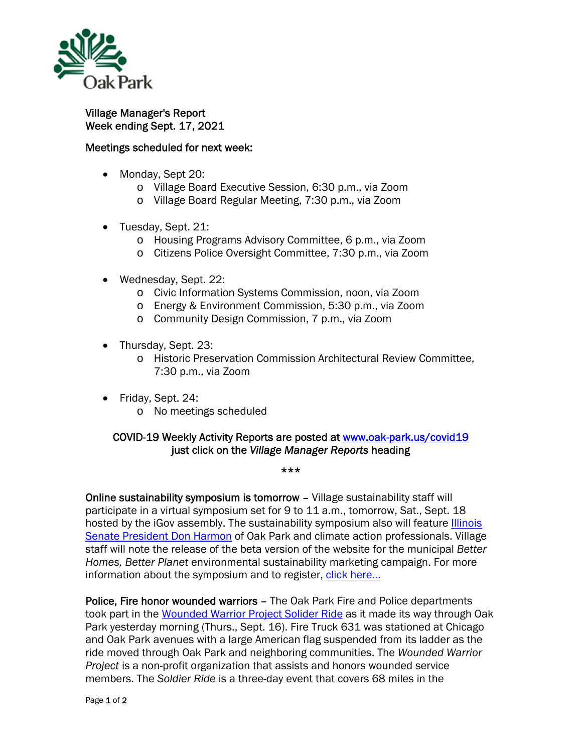

Village Manager's Report Week ending Sept. 17, 2021

## Meetings scheduled for next week:

- Monday, Sept 20:
	- o Village Board Executive Session, 6:30 p.m., via Zoom
	- o Village Board Regular Meeting, 7:30 p.m., via Zoom
- Tuesday, Sept. 21:
	- o Housing Programs Advisory Committee, 6 p.m., via Zoom
	- o Citizens Police Oversight Committee, 7:30 p.m., via Zoom
- Wednesday, Sept. 22:
	- o Civic Information Systems Commission, noon, via Zoom
	- o Energy & Environment Commission, 5:30 p.m., via Zoom
	- o Community Design Commission, 7 p.m., via Zoom
- Thursday, Sept. 23:
	- o Historic Preservation Commission Architectural Review Committee, 7:30 p.m., via Zoom
- Friday, Sept. 24:
	- o No meetings scheduled

## COVID-19 Weekly Activity Reports are posted at www.oak-park.us/covid19 just click on the *Village Manager Reports* heading

\*\*\*

Online sustainability symposium is tomorrow – Village sustainability staff will participate in a virtual symposium set for 9 to 11 a.m., tomorrow, Sat., Sept. 18 hosted by the iGov assembly. The sustainability symposium also will feature Illinois Senate President Don Harmon of Oak Park and climate action professionals. Village staff will note the release of the beta version of the website for the municipal *Better Homes, Better Planet* environmental sustainability marketing campaign. For more information about the symposium and to register, click here...

Police, Fire honor wounded warriors - The Oak Park Fire and Police departments took part in the Wounded Warrior Project Solider Ride as it made its way through Oak Park yesterday morning (Thurs., Sept. 16). Fire Truck 631 was stationed at Chicago and Oak Park avenues with a large American flag suspended from its ladder as the ride moved through Oak Park and neighboring communities. The *Wounded Warrior Project* is a non-profit organization that assists and honors wounded service members. The *Soldier Ride* is a three-day event that covers 68 miles in the